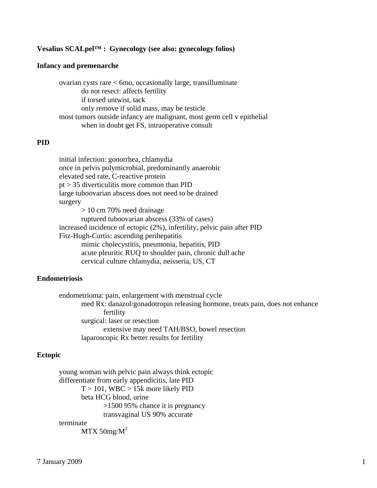### **Vesalius SCALpel™ : Gynecology (see also: gynecology folios)**

#### **Infancy and premenarche**

 ovarian cysts rare < 6mo, occasionally large, transilluminate do not resect: affects fertility if torsed untwist, tack only remove if solid mass, may be testicle most tumors outside infancy are malignant, most germ cell v epithelial when in doubt get FS, intraoperative consult

### **PID**

 initial infection: gonorrhea, chlamydia once in pelvis polymicrobial, predominantly anaerobic elevated sed rate, C-reactive protein pt > 35 diverticulitis more common than PID large tuboovarian abscess does not need to be drained surgery > 10 cm 70% need drainage ruptured tuboovarian abscess (33% of cases) increased incidence of ectopic (2%), infertility, pelvic pain after PID Fitz-Hugh-Curtis: ascending perihepatitis mimic cholecystitis, pneumonia, hepatitis, PID acute pleuritic RUQ to shoulder pain, chronic dull ache cervical culture chlamydia, neisseria, US, CT

#### **Endometriosis**

 endometrioma: pain, enlargement with menstrual cycle med Rx: danazol/gonadotropin releasing hormone, treats pain, does not enhance fertility surgical: laser or resection extensive may need TAH/BSO, bowel resection laparoscopic Rx better results for fertility

### **Ectopic**

 young woman with pelvic pain always think ectopic differentiate from early appendicitis, late PID  $T > 101$ , WBC  $> 15k$  more likely PID beta HCG blood, urine >1500 95% chance it is pregnancy transvaginal US 90% accurate

#### terminate

 $MTX$  50mg/ $M^2$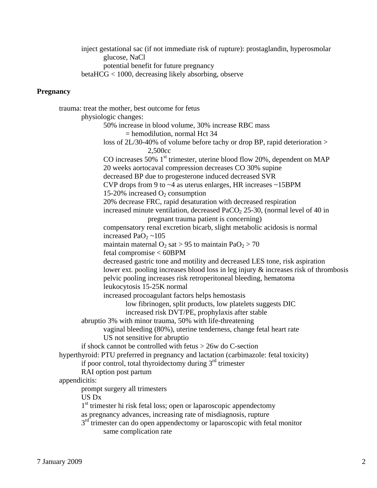inject gestational sac (if not immediate risk of rupture): prostaglandin, hyperosmolar glucose, NaCl potential benefit for future pregnancy betaHCG < 1000, decreasing likely absorbing, observe

### **Pregnancy**

```
 trauma: treat the mother, best outcome for fetus 
       physiologic changes: 
               50% increase in blood volume, 30% increase RBC mass 
                       = hemodilution, normal Hct 34 
               loss of 2L/30-40% of volume before tachy or drop BP, rapid deterioration > 
                               2,500cc 
              CO increases 50% 1<sup>st</sup> trimester, uterine blood flow 20%, dependent on MAP
               20 weeks aortocaval compression decreases CO 30% supine 
               decreased BP due to progesterone induced decreased SVR 
               CVP drops from 9 to ~4 as uterus enlarges, HR increases ~15BPM 
              15-20% increased O_2 consumption
               20% decrease FRC, rapid desaturation with decreased respiration 
              increased minute ventilation, decreased PaCO<sub>2</sub> 25-30, (normal level of 40 in
                               pregnant trauma patient is concerning) 
               compensatory renal excretion bicarb, slight metabolic acidosis is normal 
              increased PaO<sub>2</sub> \sim105
              maintain maternal O_2 sat > 95 to maintain PaO_2 > 70
               fetal compromise < 60BPM 
               decreased gastric tone and motility and decreased LES tone, risk aspiration 
               lower ext. pooling increases blood loss in leg injury & increases risk of thrombosis 
               pelvic pooling increases risk retroperitoneal bleeding, hematoma 
               leukocytosis 15-25K normal 
               increased procoagulant factors helps hemostasis 
                       low fibrinogen, split products, low platelets suggests DIC 
                       increased risk DVT/PE, prophylaxis after stable 
       abruptio 3% with minor trauma, 50% with life-threatening 
               vaginal bleeding (80%), uterine tenderness, change fetal heart rate 
               US not sensitive for abruptio 
       if shock cannot be controlled with fetus > 26w do C-section 
hyperthyroid: PTU preferred in pregnancy and lactation (carbimazole: fetal toxicity) 
      if poor control, total thyroidectomy during 3<sup>rd</sup> trimester
       RAI option post partum 
appendicitis: 
       prompt surgery all trimesters 
       US Dx 
      1<sup>st</sup> trimester hi risk fetal loss; open or laparoscopic appendectomy
       as pregnancy advances, increasing rate of misdiagnosis, rupture 
      3<sup>rd</sup> trimester can do open appendectomy or laparoscopic with fetal monitor
               same complication rate
```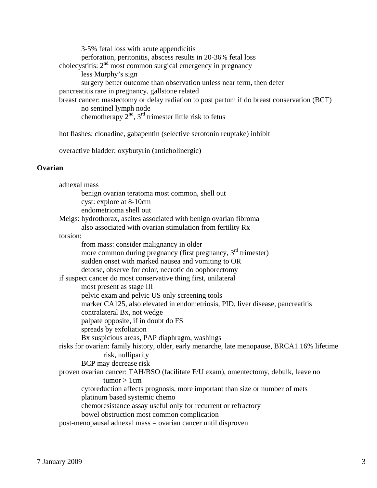3-5% fetal loss with acute appendicitis perforation, peritonitis, abscess results in 20-36% fetal loss cholecystitis:  $2<sup>nd</sup>$  most common surgical emergency in pregnancy less Murphy's sign surgery better outcome than observation unless near term, then defer pancreatitis rare in pregnancy, gallstone related breast cancer: mastectomy or delay radiation to post partum if do breast conservation (BCT) no sentinel lymph node chemotherapy  $2^{nd}$ ,  $3^{rd}$  trimester little risk to fetus

hot flashes: clonadine, gabapentin (selective serotonin reuptake) inhibit

overactive bladder: oxybutyrin (anticholinergic)

## **Ovarian**

| adnexal mass                                                                                 |  |
|----------------------------------------------------------------------------------------------|--|
| benign ovarian teratoma most common, shell out                                               |  |
| cyst: explore at 8-10cm                                                                      |  |
| endometrioma shell out                                                                       |  |
| Meigs: hydrothorax, ascites associated with benign ovarian fibroma                           |  |
| also associated with ovarian stimulation from fertility Rx                                   |  |
| torsion:                                                                                     |  |
| from mass: consider malignancy in older                                                      |  |
| more common during pregnancy (first pregnancy, 3 <sup>rd</sup> trimester)                    |  |
| sudden onset with marked nausea and vomiting to OR                                           |  |
| detorse, observe for color, necrotic do oophorectomy                                         |  |
| if suspect cancer do most conservative thing first, unilateral                               |  |
| most present as stage III                                                                    |  |
| pelvic exam and pelvic US only screening tools                                               |  |
| marker CA125, also elevated in endometriosis, PID, liver disease, pancreatitis               |  |
| contralateral Bx, not wedge                                                                  |  |
| palpate opposite, if in doubt do FS                                                          |  |
| spreads by exfoliation                                                                       |  |
| Bx suspicious areas, PAP diaphragm, washings                                                 |  |
| risks for ovarian: family history, older, early menarche, late menopause, BRCA1 16% lifetime |  |
| risk, nulliparity                                                                            |  |
| BCP may decrease risk                                                                        |  |
| proven ovarian cancer: TAH/BSO (facilitate F/U exam), omentectomy, debulk, leave no          |  |
| tumor > 1cm                                                                                  |  |
| cytoreduction affects prognosis, more important than size or number of mets                  |  |
| platinum based systemic chemo                                                                |  |
| chemoresistance assay useful only for recurrent or refractory                                |  |
| bowel obstruction most common complication                                                   |  |
| post-menopausal adnexal mass = ovarian cancer until disproven                                |  |
|                                                                                              |  |